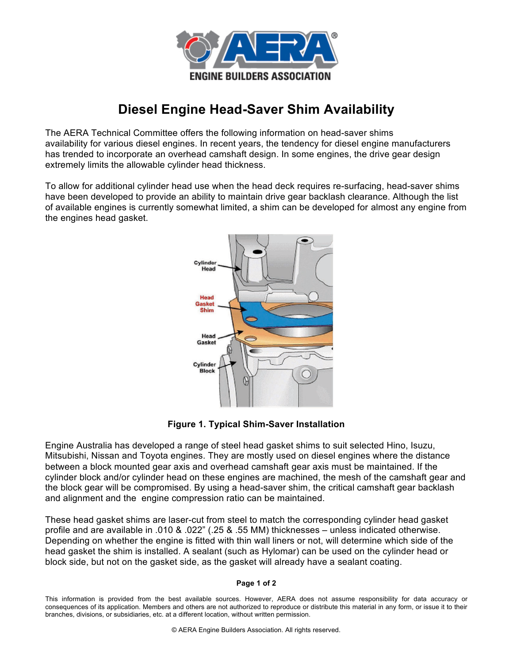

## **Diesel Engine Head-Saver Shim Availability**

The AERA Technical Committee offers the following information on head-saver shims availability for various diesel engines. In recent years, the tendency for diesel engine manufacturers has trended to incorporate an overhead camshaft design. In some engines, the drive gear design extremely limits the allowable cylinder head thickness.

To allow for additional cylinder head use when the head deck requires re-surfacing, head-saver shims have been developed to provide an ability to maintain drive gear backlash clearance. Although the list of available engines is currently somewhat limited, a shim can be developed for almost any engine from the engines head gasket.



**Figure 1. Typical Shim-Saver Installation**

Engine Australia has developed a range of steel head gasket shims to suit selected Hino, Isuzu, Mitsubishi, Nissan and Toyota engines. They are mostly used on diesel engines where the distance between a block mounted gear axis and overhead camshaft gear axis must be maintained. If the cylinder block and/or cylinder head on these engines are machined, the mesh of the camshaft gear and the block gear will be compromised. By using a head-saver shim, the critical camshaft gear backlash and alignment and the engine compression ratio can be maintained.

These head gasket shims are laser-cut from steel to match the corresponding cylinder head gasket profile and are available in .010 & .022" (.25 & .55 MM) thicknesses – unless indicated otherwise. Depending on whether the engine is fitted with thin wall liners or not, will determine which side of the head gasket the shim is installed. A sealant (such as Hylomar) can be used on the cylinder head or block side, but not on the gasket side, as the gasket will already have a sealant coating.

## **Page 1 of 2**

This information is provided from the best available sources. However, AERA does not assume responsibility for data accuracy or consequences of its application. Members and others are not authorized to reproduce or distribute this material in any form, or issue it to their branches, divisions, or subsidiaries, etc. at a different location, without written permission.